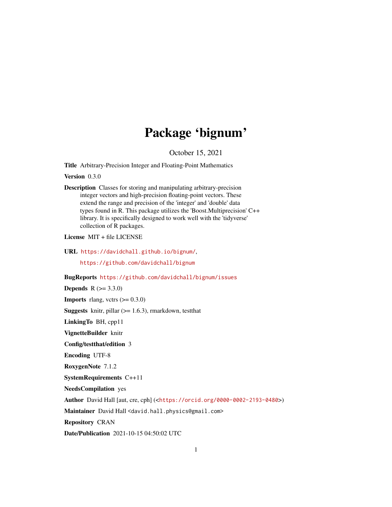## Package 'bignum'

October 15, 2021

<span id="page-0-0"></span>Title Arbitrary-Precision Integer and Floating-Point Mathematics

Version 0.3.0

Description Classes for storing and manipulating arbitrary-precision integer vectors and high-precision floating-point vectors. These extend the range and precision of the 'integer' and 'double' data types found in R. This package utilizes the 'Boost.Multiprecision' C++ library. It is specifically designed to work well with the 'tidyverse' collection of R packages.

License MIT + file LICENSE

URL <https://davidchall.github.io/bignum/>,

<https://github.com/davidchall/bignum>

BugReports <https://github.com/davidchall/bignum/issues>

**Depends** R  $(>= 3.3.0)$ 

**Imports** rlang, vctrs  $(>= 0.3.0)$ 

**Suggests** knitr, pillar  $(>= 1.6.3)$ , rmarkdown, test that

LinkingTo BH, cpp11

VignetteBuilder knitr

Config/testthat/edition 3

Encoding UTF-8

RoxygenNote 7.1.2

SystemRequirements C++11

NeedsCompilation yes

Author David Hall [aut, cre, cph] (<<https://orcid.org/0000-0002-2193-0480>>)

Maintainer David Hall <david.hall.physics@gmail.com>

Repository CRAN

Date/Publication 2021-10-15 04:50:02 UTC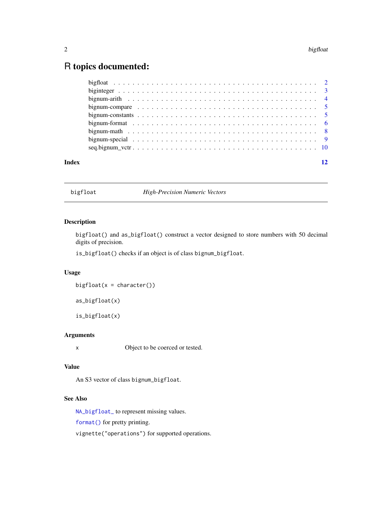### <span id="page-1-0"></span>R topics documented:

|       | bignum-compare $\ldots \ldots \ldots \ldots \ldots \ldots \ldots \ldots \ldots \ldots \ldots \ldots \ldots 5$ |
|-------|---------------------------------------------------------------------------------------------------------------|
|       |                                                                                                               |
|       |                                                                                                               |
|       |                                                                                                               |
|       |                                                                                                               |
|       |                                                                                                               |
| Index | 12                                                                                                            |
|       |                                                                                                               |

<span id="page-1-1"></span>bigfloat *High-Precision Numeric Vectors*

#### Description

bigfloat() and as\_bigfloat() construct a vector designed to store numbers with 50 decimal digits of precision.

is\_bigfloat() checks if an object is of class bignum\_bigfloat.

#### Usage

 $bigfloat(x = character())$ 

as\_bigfloat(x)

is\_bigfloat(x)

#### Arguments

x Object to be coerced or tested.

#### Value

An S3 vector of class bignum\_bigfloat.

#### See Also

[NA\\_bigfloat\\_](#page-4-1) to represent missing values.

[format\(\)](#page-5-1) for pretty printing.

vignette("operations") for supported operations.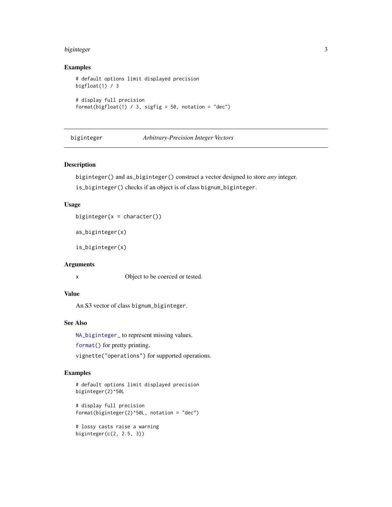#### <span id="page-2-0"></span>biginteger 3

#### Examples

```
# default options limit displayed precision
bigfloat(1) / 3
# display full precision
format(bigfloat(1) / 3, sigfig = 50, notation = "dec")
```
<span id="page-2-1"></span>biginteger *Arbitrary-Precision Integer Vectors*

#### Description

biginteger() and as\_biginteger() construct a vector designed to store *any* integer.

is\_biginteger() checks if an object is of class bignum\_biginteger.

#### Usage

biginteger( $x =$ character())

as\_biginteger(x)

is\_biginteger(x)

#### Arguments

x Object to be coerced or tested.

#### Value

An S3 vector of class bignum\_biginteger.

#### See Also

[NA\\_biginteger\\_](#page-4-1) to represent missing values.

[format\(\)](#page-5-1) for pretty printing.

vignette("operations") for supported operations.

```
# default options limit displayed precision
biginteger(2)^50L
# display full precision
format(biginteger(2)^50L, notation = "dec")
# lossy casts raise a warning
biginteger(c(2, 2.5, 3))
```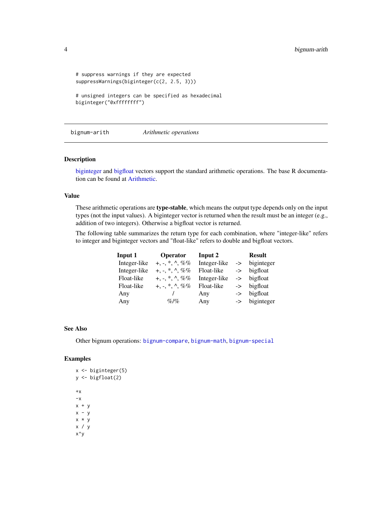```
# suppress warnings if they are expected
suppressWarnings(biginteger(c(2, 2.5, 3)))
# unsigned integers can be specified as hexadecimal
```

```
biginteger("0xffffffff")
```
<span id="page-3-1"></span>bignum-arith *Arithmetic operations*

#### Description

[biginteger](#page-2-1) and [bigfloat](#page-1-1) vectors support the standard arithmetic operations. The base R documentation can be found at [Arithmetic.](#page-0-0)

#### Value

These arithmetic operations are type-stable, which means the output type depends only on the input types (not the input values). A biginteger vector is returned when the result must be an integer (e.g., addition of two integers). Otherwise a bigfloat vector is returned.

The following table summarizes the return type for each combination, where "integer-like" refers to integer and biginteger vectors and "float-like" refers to double and bigfloat vectors.

| Input 1      | Operator             | Input 2      |               | <b>Result</b> |
|--------------|----------------------|--------------|---------------|---------------|
| Integer-like | $+, -, *, \land, \%$ | Integer-like | $\rightarrow$ | biginteger    |
| Integer-like | $+, -, *, \land, \%$ | Float-like   |               | -> bigfloat   |
| Float-like   | $+, -, *, \land, \%$ | Integer-like |               | -> bigfloat   |
| Float-like   | $+, -, *, \land, \%$ | Float-like   |               | -> bigfloat   |
| Any          |                      | Any          |               | -> bigfloat   |
| Any          | $\%$  %              | Any          |               | -> biginteger |

#### See Also

Other bignum operations: [bignum-compare](#page-4-2), [bignum-math](#page-7-1), [bignum-special](#page-8-1)

```
x <- biginteger(5)
y <- bigfloat(2)
+{\mathsf x}-xx + yx - yx * y
x / y
x^y
```
<span id="page-3-0"></span>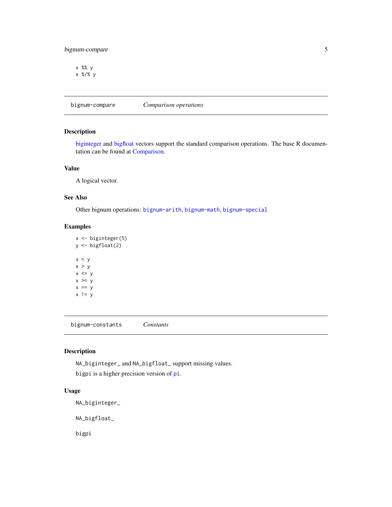#### <span id="page-4-0"></span>bignum-compare 5

x %% y x %/% y

<span id="page-4-2"></span>bignum-compare *Comparison operations*

#### Description

[biginteger](#page-2-1) and [bigfloat](#page-1-1) vectors support the standard comparison operations. The base R documentation can be found at [Comparison.](#page-0-0)

#### Value

A logical vector.

#### See Also

Other bignum operations: [bignum-arith](#page-3-1), [bignum-math](#page-7-1), [bignum-special](#page-8-1)

#### Examples

x <- biginteger(5) y <- bigfloat(2)  $x < y$  $x > y$  $x \leq y$  $x \ge y$  $x == y$  $x$  ! =  $y$ 

bignum-constants *Constants*

#### <span id="page-4-1"></span>Description

NA\_biginteger\_ and NA\_bigfloat\_ support missing values.

bigpi is a higher precision version of [pi](#page-0-0).

#### Usage

NA\_biginteger\_

NA\_bigfloat\_

bigpi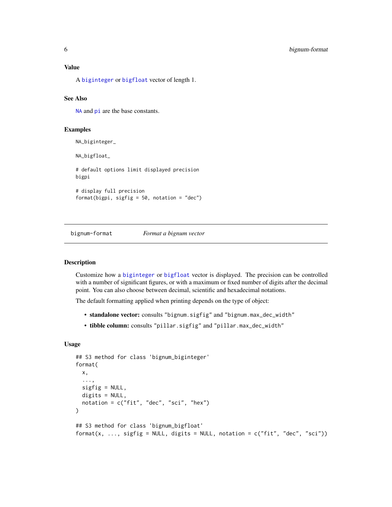<span id="page-5-0"></span>A [biginteger](#page-2-1) or [bigfloat](#page-1-1) vector of length 1.

#### See Also

[NA](#page-0-0) and [pi](#page-0-0) are the base constants.

#### Examples

NA\_biginteger\_ NA\_bigfloat\_

# default options limit displayed precision bigpi

# display full precision format(bigpi, sigfig = 50, notation = "dec")

bignum-format *Format a bignum vector*

#### <span id="page-5-1"></span>Description

Customize how a [biginteger](#page-2-1) or [bigfloat](#page-1-1) vector is displayed. The precision can be controlled with a number of significant figures, or with a maximum or fixed number of digits after the decimal point. You can also choose between decimal, scientific and hexadecimal notations.

The default formatting applied when printing depends on the type of object:

- standalone vector: consults "bignum.sigfig" and "bignum.max\_dec\_width"
- tibble column: consults "pillar.sigfig" and "pillar.max\_dec\_width"

#### Usage

```
## S3 method for class 'bignum_biginteger'
format(
 x,
  ...,
  sigfig = NULL,
 digits = NULL,notation = c("fit", "dec", "sci", "hex")
)
## S3 method for class 'bignum_bigfloat'
format(x, ..., sigfig = NULL, digits = NULL, notation = c("fit", "dec", "sci"))
```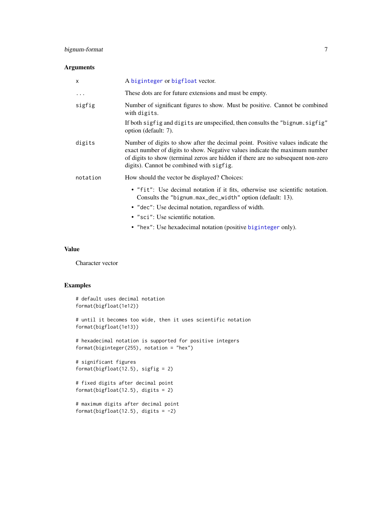#### bignum-format 7

#### Arguments

| $\mathsf{x}$ | A biginteger or bigfloat vector.                                                                                                                                                                                                                                                              |
|--------------|-----------------------------------------------------------------------------------------------------------------------------------------------------------------------------------------------------------------------------------------------------------------------------------------------|
| $\cdots$     | These dots are for future extensions and must be empty.                                                                                                                                                                                                                                       |
| sigfig       | Number of significant figures to show. Must be positive. Cannot be combined<br>with digits.                                                                                                                                                                                                   |
|              | If both sigfig and digits are unspecified, then consults the "bignum. sigfig"<br>option (default: 7).                                                                                                                                                                                         |
| digits       | Number of digits to show after the decimal point. Positive values indicate the<br>exact number of digits to show. Negative values indicate the maximum number<br>of digits to show (terminal zeros are hidden if there are no subsequent non-zero<br>digits). Cannot be combined with sigfig. |
| notation     | How should the vector be displayed? Choices:                                                                                                                                                                                                                                                  |
|              | • "fit": Use decimal notation if it fits, otherwise use scientific notation.<br>Consults the "bignum.max_dec_width" option (default: 13).                                                                                                                                                     |
|              | • "dec": Use decimal notation, regardless of width.                                                                                                                                                                                                                                           |
|              | • "sci": Use scientific notation.                                                                                                                                                                                                                                                             |
|              | • "hex": Use hexadecimal notation (positive biginteger only).                                                                                                                                                                                                                                 |

#### Value

Character vector

```
# default uses decimal notation
format(bigfloat(1e12))
# until it becomes too wide, then it uses scientific notation
format(bigfloat(1e13))
# hexadecimal notation is supported for positive integers
format(biginteger(255), notation = "hex")
# significant figures
format(bigfloat(12.5), sigfig = 2)
# fixed digits after decimal point
format(bigfloat(12.5), digits = 2)
# maximum digits after decimal point
format(bigfloat(12.5), digits = -2)
```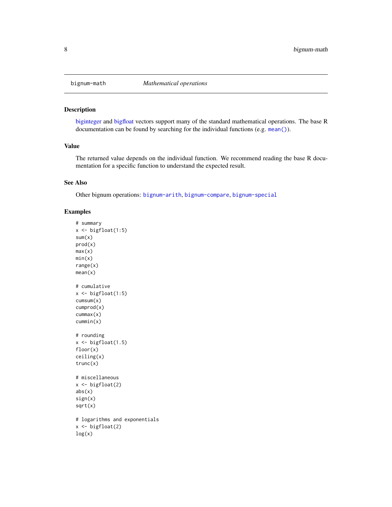<span id="page-7-1"></span><span id="page-7-0"></span>

#### Description

[biginteger](#page-2-1) and [bigfloat](#page-1-1) vectors support many of the standard mathematical operations. The base R documentation can be found by searching for the individual functions (e.g. [mean\(\)](#page-0-0)).

#### Value

The returned value depends on the individual function. We recommend reading the base R documentation for a specific function to understand the expected result.

#### See Also

Other bignum operations: [bignum-arith](#page-3-1), [bignum-compare](#page-4-2), [bignum-special](#page-8-1)

```
# summary
x \leftarrow \text{bigfloat}(1:5)sum(x)
prod(x)
max(x)min(x)range(x)
mean(x)
# cumulative
x \leftarrow \text{bigfloat}(1:5)cumsum(x)
cumprod(x)
cummax(x)
cummin(x)
# rounding
x \leftarrow \text{bigfloat}(1.5)floor(x)
ceiling(x)
trunc(x)
# miscellaneous
x \leftarrow bigfloat(2)
abs(x)sign(x)
sqrt(x)
# logarithms and exponentials
x \leftarrow \text{bigfloat}(2)log(x)
```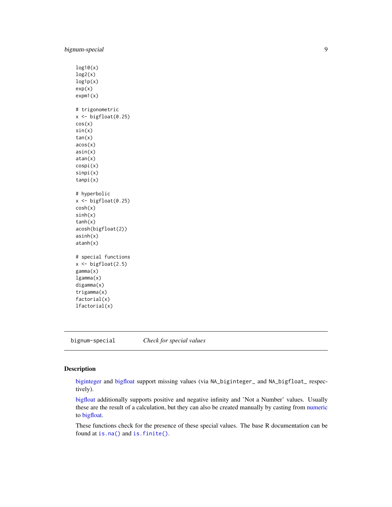```
log10(x)
log2(x)log1p(x)
exp(x)
expm1(x)
# trigonometric
x <- bigfloat(0.25)
cos(x)
sin(x)
tan(x)
acos(x)
asin(x)
atan(x)
cospi(x)
sinpi(x)
tanpi(x)
# hyperbolic
x <- bigfloat(0.25)
cosh(x)
sinh(x)
tanh(x)
acosh(bigfloat(2))
asinh(x)
atanh(x)
# special functions
x \leftarrow \text{bigfloat}(2.5)gamma(x)
lgamma(x)
digamma(x)
trigamma(x)
factorial(x)
lfactorial(x)
```
<span id="page-8-1"></span>bignum-special *Check for special values*

#### Description

[biginteger](#page-2-1) and [bigfloat](#page-1-1) support missing values (via NA\_biginteger\_ and NA\_bigfloat\_ respectively).

[bigfloat](#page-1-1) additionally supports positive and negative infinity and 'Not a Number' values. Usually these are the result of a calculation, but they can also be created manually by casting from [numeric](#page-0-0) to [bigfloat.](#page-1-1)

These functions check for the presence of these special values. The base R documentation can be found at [is.na\(\)](#page-0-0) and [is.finite\(\)](#page-0-0).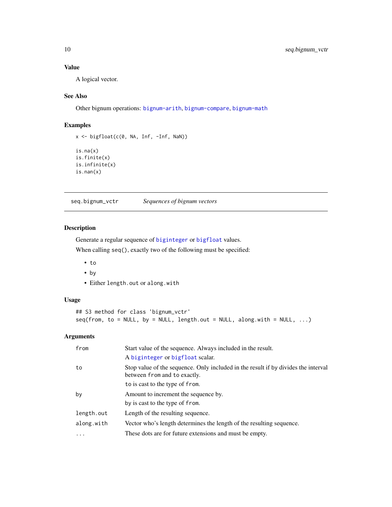#### <span id="page-9-0"></span>Value

A logical vector.

#### See Also

Other bignum operations: [bignum-arith](#page-3-1), [bignum-compare](#page-4-2), [bignum-math](#page-7-1)

#### Examples

```
x <- bigfloat(c(0, NA, Inf, -Inf, NaN))
is.na(x)
is.finite(x)
is.infinite(x)
is.nan(x)
```
seq.bignum\_vctr *Sequences of bignum vectors*

#### Description

Generate a regular sequence of [biginteger](#page-2-1) or [bigfloat](#page-1-1) values.

When calling seq(), exactly two of the following must be specified:

- to
- by
- Either length.out or along.with

#### Usage

```
## S3 method for class 'bignum_vctr'
seq(from, to = NULL, by = NULL, length.out = NULL, along with = NULL, ...)
```
#### Arguments

| from       | Start value of the sequence. Always included in the result.<br>A biginteger or bigfloat scalar.                    |
|------------|--------------------------------------------------------------------------------------------------------------------|
| to         | Stop value of the sequence. Only included in the result if by divides the interval<br>between from and to exactly. |
|            | to is cast to the type of from.                                                                                    |
| by         | Amount to increment the sequence by.                                                                               |
|            | by is cast to the type of from.                                                                                    |
| length.out | Length of the resulting sequence.                                                                                  |
| along.with | Vector who's length determines the length of the resulting sequence.                                               |
| .          | These dots are for future extensions and must be empty.                                                            |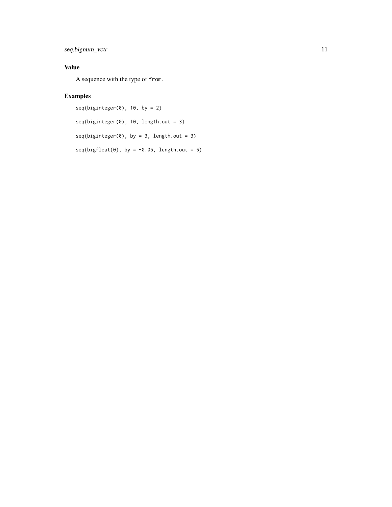#### seq.bignum\_vctr 11

#### Value

A sequence with the type of from.

```
seq(biginteger(0), 10, by = 2)seq(biginteger(0), 10, length.out = 3)
seq(biginteger(0), by = 3, length.out = 3)seq(bigfloat(0), by = -0.05, length.out = 6)
```